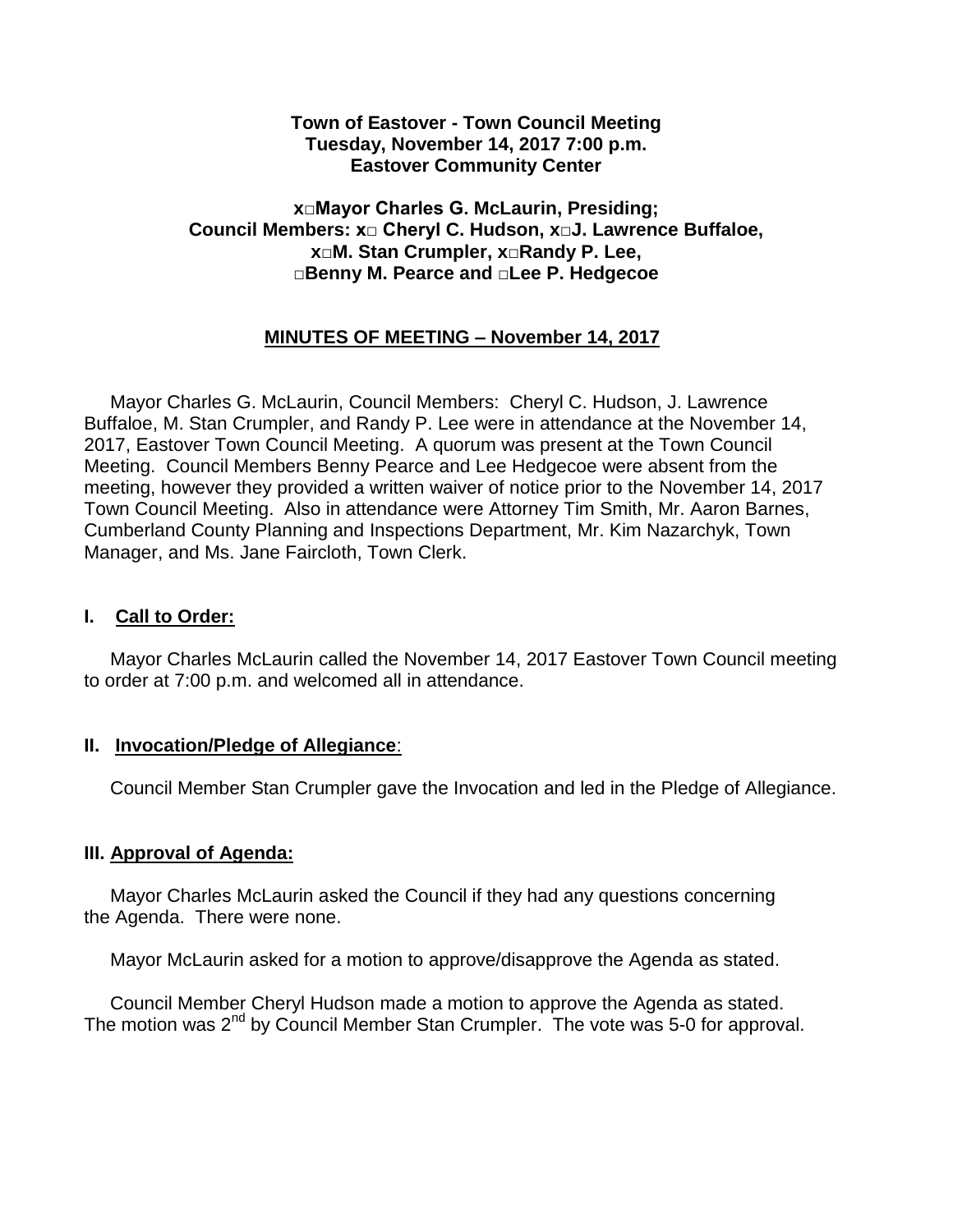### **Town of Eastover - Town Council Meeting Tuesday, November 14, 2017 7:00 p.m. Eastover Community Center**

### **x□Mayor Charles G. McLaurin, Presiding; Council Members: x□ Cheryl C. Hudson, x□J. Lawrence Buffaloe, x□M. Stan Crumpler, x□Randy P. Lee, □Benny M. Pearce and □Lee P. Hedgecoe**

## **MINUTES OF MEETING – November 14, 2017**

 Mayor Charles G. McLaurin, Council Members: Cheryl C. Hudson, J. Lawrence Buffaloe, M. Stan Crumpler, and Randy P. Lee were in attendance at the November 14, 2017, Eastover Town Council Meeting. A quorum was present at the Town Council Meeting. Council Members Benny Pearce and Lee Hedgecoe were absent from the meeting, however they provided a written waiver of notice prior to the November 14, 2017 Town Council Meeting. Also in attendance were Attorney Tim Smith, Mr. Aaron Barnes, Cumberland County Planning and Inspections Department, Mr. Kim Nazarchyk, Town Manager, and Ms. Jane Faircloth, Town Clerk.

### **I. Call to Order:**

 Mayor Charles McLaurin called the November 14, 2017 Eastover Town Council meeting to order at 7:00 p.m. and welcomed all in attendance.

### **II. Invocation/Pledge of Allegiance**:

Council Member Stan Crumpler gave the Invocation and led in the Pledge of Allegiance.

### **III. Approval of Agenda:**

 Mayor Charles McLaurin asked the Council if they had any questions concerning the Agenda. There were none.

Mayor McLaurin asked for a motion to approve/disapprove the Agenda as stated.

 Council Member Cheryl Hudson made a motion to approve the Agenda as stated. The motion was 2<sup>nd</sup> by Council Member Stan Crumpler. The vote was 5-0 for approval.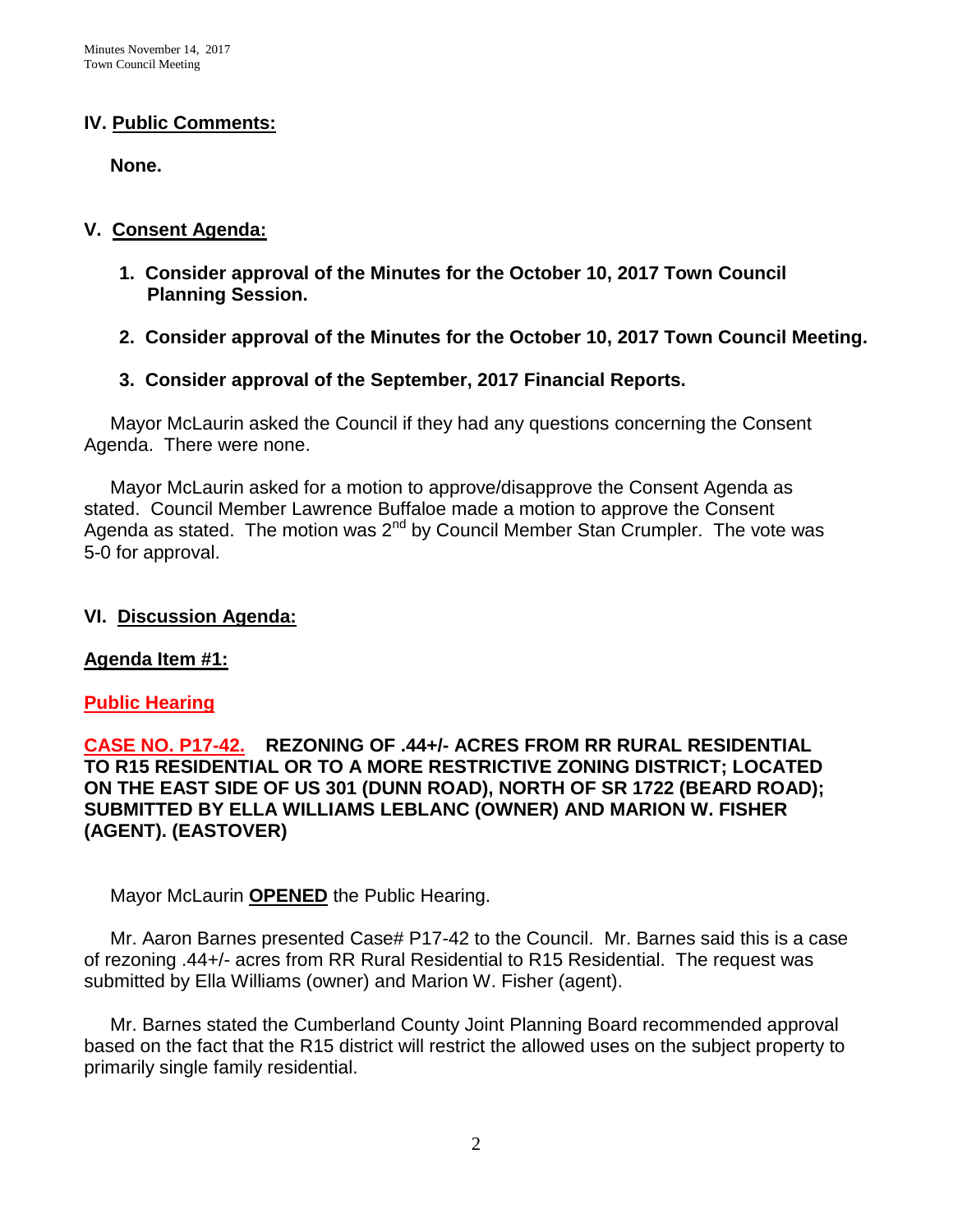### **IV. Public Comments:**

 **None.**

### **V. Consent Agenda:**

- **1. Consider approval of the Minutes for the October 10, 2017 Town Council Planning Session.**
- **2. Consider approval of the Minutes for the October 10, 2017 Town Council Meeting.**
- **3. Consider approval of the September, 2017 Financial Reports.**

 Mayor McLaurin asked the Council if they had any questions concerning the Consent Agenda. There were none.

 Mayor McLaurin asked for a motion to approve/disapprove the Consent Agenda as stated. Council Member Lawrence Buffaloe made a motion to approve the Consent Agenda as stated. The motion was  $2<sup>nd</sup>$  by Council Member Stan Crumpler. The vote was 5-0 for approval.

### **VI. Discussion Agenda:**

### **Agenda Item #1:**

### **Public Hearing**

**CASE NO. P17-42. REZONING OF .44+/- ACRES FROM RR RURAL RESIDENTIAL TO R15 RESIDENTIAL OR TO A MORE RESTRICTIVE ZONING DISTRICT; LOCATED ON THE EAST SIDE OF US 301 (DUNN ROAD), NORTH OF SR 1722 (BEARD ROAD); SUBMITTED BY ELLA WILLIAMS LEBLANC (OWNER) AND MARION W. FISHER (AGENT). (EASTOVER)**

Mayor McLaurin **OPENED** the Public Hearing.

 Mr. Aaron Barnes presented Case# P17-42 to the Council. Mr. Barnes said this is a case of rezoning .44+/- acres from RR Rural Residential to R15 Residential. The request was submitted by Ella Williams (owner) and Marion W. Fisher (agent).

 Mr. Barnes stated the Cumberland County Joint Planning Board recommended approval based on the fact that the R15 district will restrict the allowed uses on the subject property to primarily single family residential.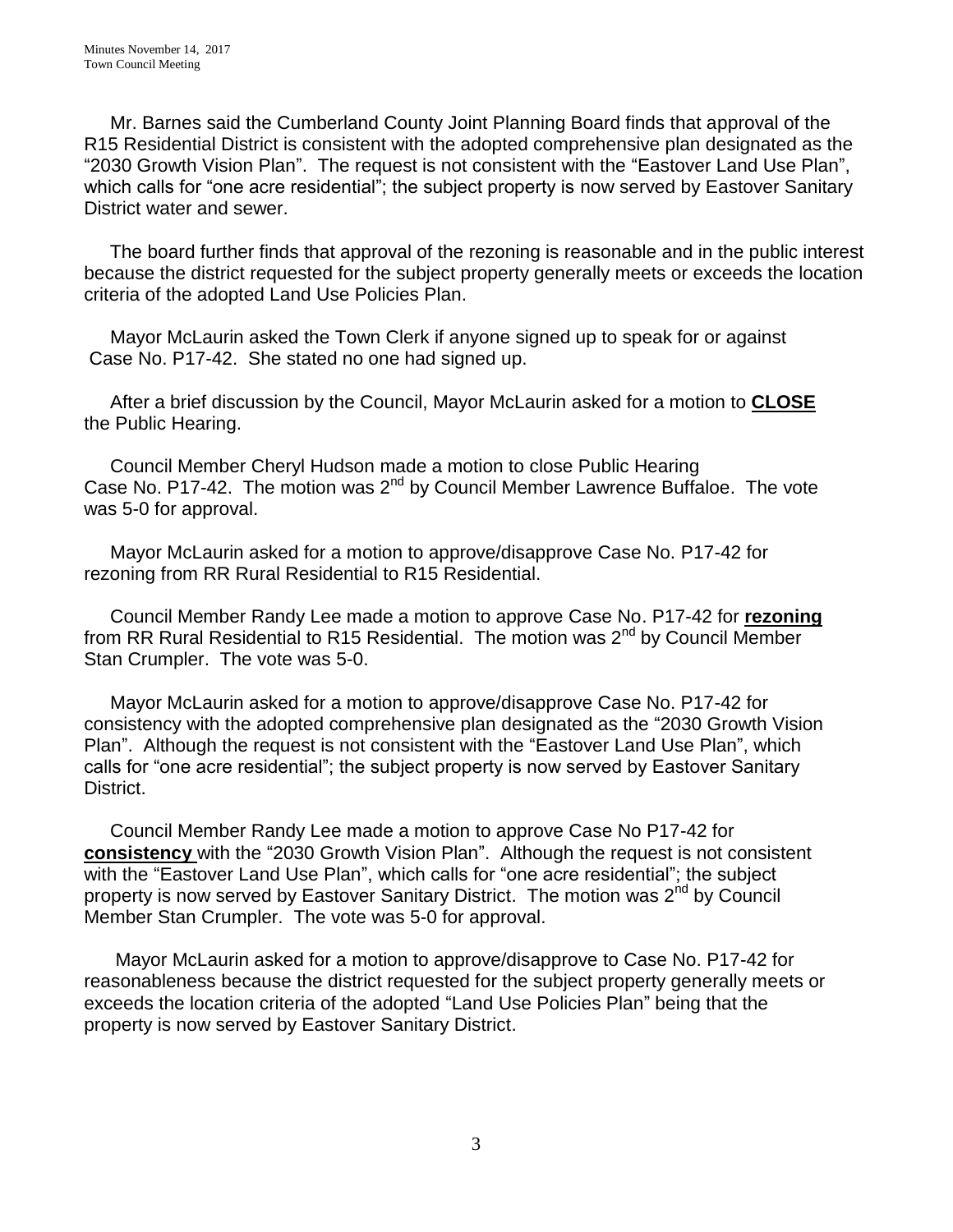Mr. Barnes said the Cumberland County Joint Planning Board finds that approval of the R15 Residential District is consistent with the adopted comprehensive plan designated as the "2030 Growth Vision Plan". The request is not consistent with the "Eastover Land Use Plan", which calls for "one acre residential"; the subject property is now served by Eastover Sanitary District water and sewer.

 The board further finds that approval of the rezoning is reasonable and in the public interest because the district requested for the subject property generally meets or exceeds the location criteria of the adopted Land Use Policies Plan.

 Mayor McLaurin asked the Town Clerk if anyone signed up to speak for or against Case No. P17-42. She stated no one had signed up.

 After a brief discussion by the Council, Mayor McLaurin asked for a motion to **CLOSE** the Public Hearing.

 Council Member Cheryl Hudson made a motion to close Public Hearing Case No. P17-42. The motion was 2<sup>nd</sup> by Council Member Lawrence Buffaloe. The vote was 5-0 for approval.

 Mayor McLaurin asked for a motion to approve/disapprove Case No. P17-42 for rezoning from RR Rural Residential to R15 Residential.

 Council Member Randy Lee made a motion to approve Case No. P17-42 for **rezoning** from RR Rural Residential to R15 Residential. The motion was 2<sup>nd</sup> by Council Member Stan Crumpler. The vote was 5-0.

 Mayor McLaurin asked for a motion to approve/disapprove Case No. P17-42 for consistency with the adopted comprehensive plan designated as the "2030 Growth Vision Plan". Although the request is not consistent with the "Eastover Land Use Plan", which calls for "one acre residential"; the subject property is now served by Eastover Sanitary District.

 Council Member Randy Lee made a motion to approve Case No P17-42 for **consistency** with the "2030 Growth Vision Plan". Although the request is not consistent with the "Eastover Land Use Plan", which calls for "one acre residential"; the subject property is now served by Eastover Sanitary District. The motion was 2<sup>nd</sup> by Council Member Stan Crumpler. The vote was 5-0 for approval.

 Mayor McLaurin asked for a motion to approve/disapprove to Case No. P17-42 for reasonableness because the district requested for the subject property generally meets or exceeds the location criteria of the adopted "Land Use Policies Plan" being that the property is now served by Eastover Sanitary District.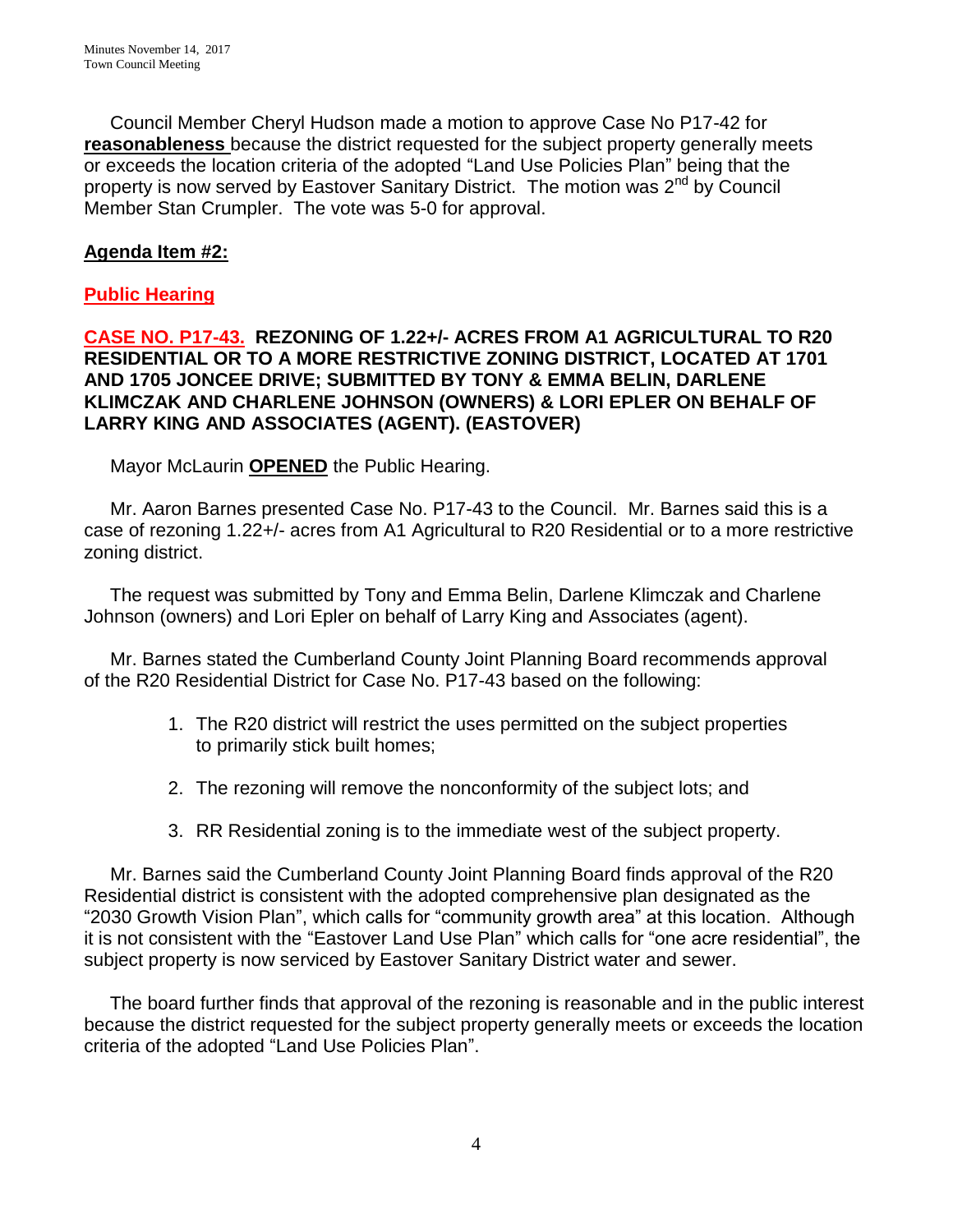Council Member Cheryl Hudson made a motion to approve Case No P17-42 for **reasonableness** because the district requested for the subject property generally meets or exceeds the location criteria of the adopted "Land Use Policies Plan" being that the property is now served by Eastover Sanitary District. The motion was 2<sup>nd</sup> by Council Member Stan Crumpler. The vote was 5-0 for approval.

## **Agenda Item #2:**

### **Public Hearing**

### **CASE NO. P17-43. REZONING OF 1.22+/- ACRES FROM A1 AGRICULTURAL TO R20 RESIDENTIAL OR TO A MORE RESTRICTIVE ZONING DISTRICT, LOCATED AT 1701 AND 1705 JONCEE DRIVE; SUBMITTED BY TONY & EMMA BELIN, DARLENE KLIMCZAK AND CHARLENE JOHNSON (OWNERS) & LORI EPLER ON BEHALF OF LARRY KING AND ASSOCIATES (AGENT). (EASTOVER)**

Mayor McLaurin **OPENED** the Public Hearing.

 Mr. Aaron Barnes presented Case No. P17-43 to the Council. Mr. Barnes said this is a case of rezoning 1.22+/- acres from A1 Agricultural to R20 Residential or to a more restrictive zoning district.

 The request was submitted by Tony and Emma Belin, Darlene Klimczak and Charlene Johnson (owners) and Lori Epler on behalf of Larry King and Associates (agent).

 Mr. Barnes stated the Cumberland County Joint Planning Board recommends approval of the R20 Residential District for Case No. P17-43 based on the following:

- 1. The R20 district will restrict the uses permitted on the subject properties to primarily stick built homes;
- 2. The rezoning will remove the nonconformity of the subject lots; and
- 3. RR Residential zoning is to the immediate west of the subject property.

 Mr. Barnes said the Cumberland County Joint Planning Board finds approval of the R20 Residential district is consistent with the adopted comprehensive plan designated as the "2030 Growth Vision Plan", which calls for "community growth area" at this location. Although it is not consistent with the "Eastover Land Use Plan" which calls for "one acre residential", the subject property is now serviced by Eastover Sanitary District water and sewer.

 The board further finds that approval of the rezoning is reasonable and in the public interest because the district requested for the subject property generally meets or exceeds the location criteria of the adopted "Land Use Policies Plan".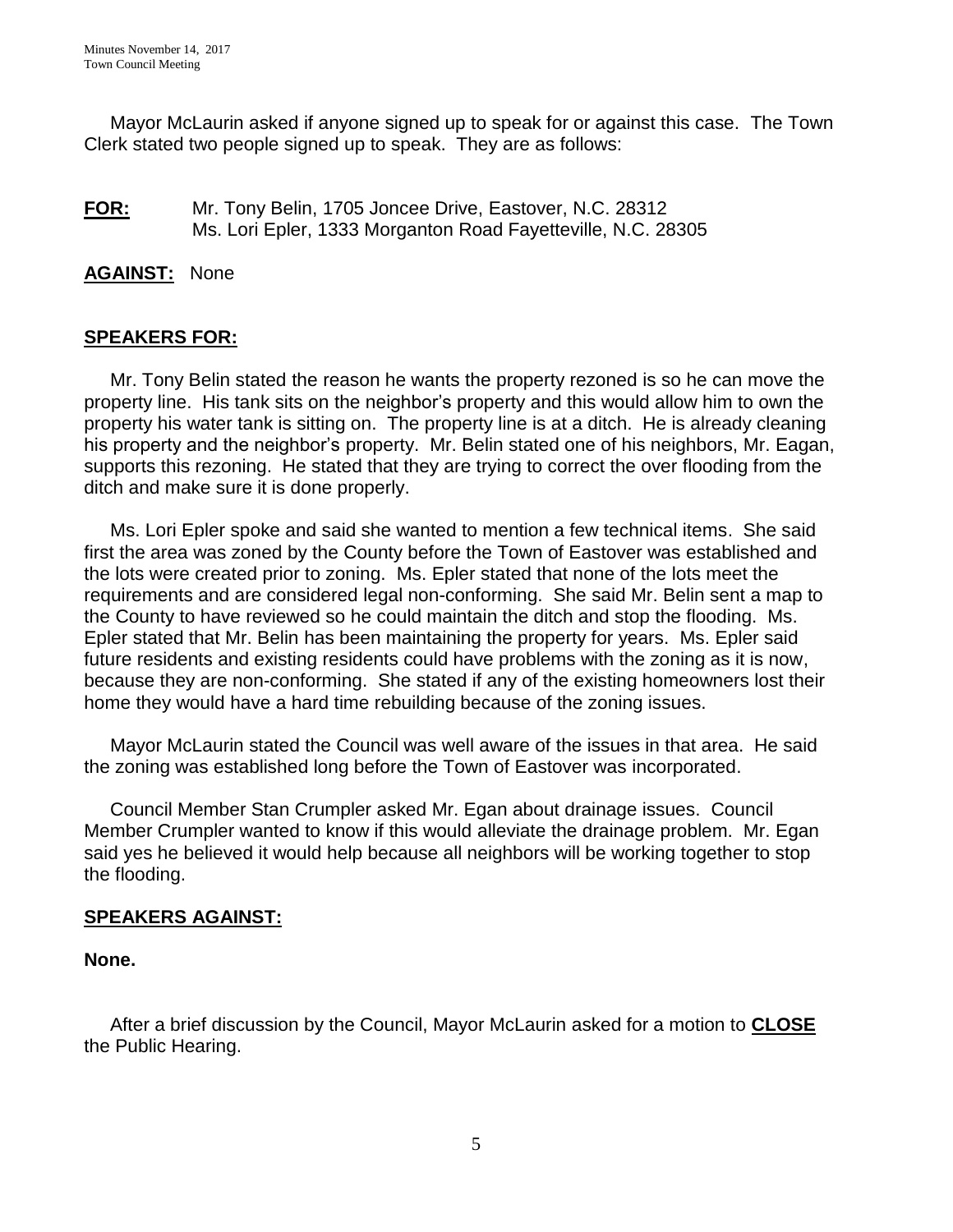Mayor McLaurin asked if anyone signed up to speak for or against this case. The Town Clerk stated two people signed up to speak. They are as follows:

### **FOR:** Mr. Tony Belin, 1705 Joncee Drive, Eastover, N.C. 28312 Ms. Lori Epler, 1333 Morganton Road Fayetteville, N.C. 28305

### **AGAINST:** None

### **SPEAKERS FOR:**

 Mr. Tony Belin stated the reason he wants the property rezoned is so he can move the property line. His tank sits on the neighbor's property and this would allow him to own the property his water tank is sitting on. The property line is at a ditch. He is already cleaning his property and the neighbor's property. Mr. Belin stated one of his neighbors, Mr. Eagan, supports this rezoning. He stated that they are trying to correct the over flooding from the ditch and make sure it is done properly.

 Ms. Lori Epler spoke and said she wanted to mention a few technical items. She said first the area was zoned by the County before the Town of Eastover was established and the lots were created prior to zoning. Ms. Epler stated that none of the lots meet the requirements and are considered legal non-conforming. She said Mr. Belin sent a map to the County to have reviewed so he could maintain the ditch and stop the flooding. Ms. Epler stated that Mr. Belin has been maintaining the property for years. Ms. Epler said future residents and existing residents could have problems with the zoning as it is now, because they are non-conforming. She stated if any of the existing homeowners lost their home they would have a hard time rebuilding because of the zoning issues.

 Mayor McLaurin stated the Council was well aware of the issues in that area. He said the zoning was established long before the Town of Eastover was incorporated.

 Council Member Stan Crumpler asked Mr. Egan about drainage issues. Council Member Crumpler wanted to know if this would alleviate the drainage problem. Mr. Egan said yes he believed it would help because all neighbors will be working together to stop the flooding.

### **SPEAKERS AGAINST:**

#### **None.**

 After a brief discussion by the Council, Mayor McLaurin asked for a motion to **CLOSE** the Public Hearing.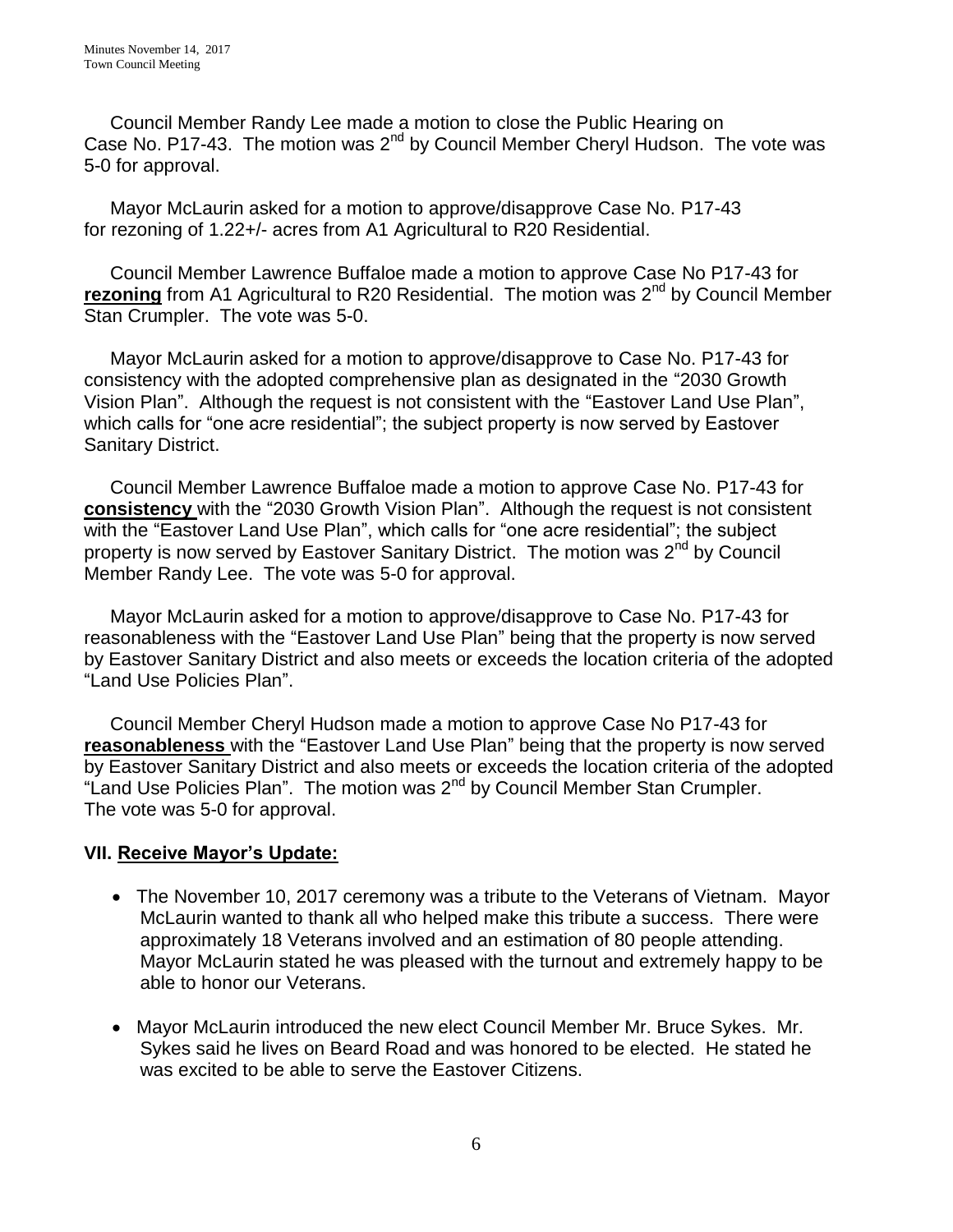Council Member Randy Lee made a motion to close the Public Hearing on Case No. P17-43. The motion was 2<sup>nd</sup> by Council Member Cheryl Hudson. The vote was 5-0 for approval.

 Mayor McLaurin asked for a motion to approve/disapprove Case No. P17-43 for rezoning of 1.22+/- acres from A1 Agricultural to R20 Residential.

 Council Member Lawrence Buffaloe made a motion to approve Case No P17-43 for **rezoning** from A1 Agricultural to R20 Residential. The motion was 2<sup>nd</sup> by Council Member Stan Crumpler. The vote was 5-0.

 Mayor McLaurin asked for a motion to approve/disapprove to Case No. P17-43 for consistency with the adopted comprehensive plan as designated in the "2030 Growth Vision Plan". Although the request is not consistent with the "Eastover Land Use Plan", which calls for "one acre residential"; the subject property is now served by Eastover Sanitary District.

 Council Member Lawrence Buffaloe made a motion to approve Case No. P17-43 for **consistency** with the "2030 Growth Vision Plan". Although the request is not consistent with the "Eastover Land Use Plan", which calls for "one acre residential"; the subject property is now served by Eastover Sanitary District. The motion was 2<sup>nd</sup> by Council Member Randy Lee. The vote was 5-0 for approval.

 Mayor McLaurin asked for a motion to approve/disapprove to Case No. P17-43 for reasonableness with the "Eastover Land Use Plan" being that the property is now served by Eastover Sanitary District and also meets or exceeds the location criteria of the adopted "Land Use Policies Plan".

 Council Member Cheryl Hudson made a motion to approve Case No P17-43 for **reasonableness** with the "Eastover Land Use Plan" being that the property is now served by Eastover Sanitary District and also meets or exceeds the location criteria of the adopted "Land Use Policies Plan". The motion was 2<sup>nd</sup> by Council Member Stan Crumpler. The vote was 5-0 for approval.

## **VII. Receive Mayor's Update:**

- The November 10, 2017 ceremony was a tribute to the Veterans of Vietnam. Mayor McLaurin wanted to thank all who helped make this tribute a success. There were approximately 18 Veterans involved and an estimation of 80 people attending. Mayor McLaurin stated he was pleased with the turnout and extremely happy to be able to honor our Veterans.
- Mayor McLaurin introduced the new elect Council Member Mr. Bruce Sykes. Mr. Sykes said he lives on Beard Road and was honored to be elected. He stated he was excited to be able to serve the Eastover Citizens.